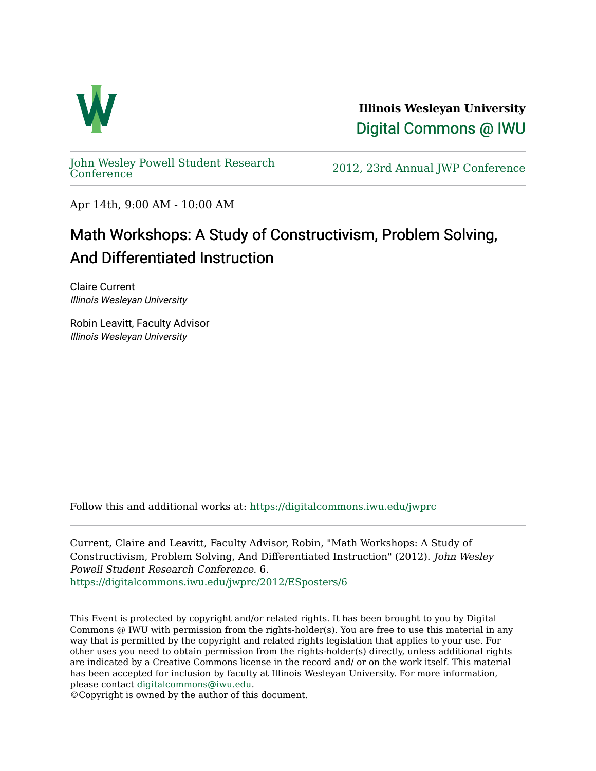

**Illinois Wesleyan University**  [Digital Commons @ IWU](https://digitalcommons.iwu.edu/) 

[John Wesley Powell Student Research](https://digitalcommons.iwu.edu/jwprc) 

2012, 23rd Annual JWP [Conference](https://digitalcommons.iwu.edu/jwprc)

Apr 14th, 9:00 AM - 10:00 AM

## Math Workshops: A Study of Constructivism, Problem Solving, And Differentiated Instruction

Claire Current Illinois Wesleyan University

Robin Leavitt, Faculty Advisor Illinois Wesleyan University

Follow this and additional works at: [https://digitalcommons.iwu.edu/jwprc](https://digitalcommons.iwu.edu/jwprc?utm_source=digitalcommons.iwu.edu%2Fjwprc%2F2012%2FESposters%2F6&utm_medium=PDF&utm_campaign=PDFCoverPages) 

Current, Claire and Leavitt, Faculty Advisor, Robin, "Math Workshops: A Study of Constructivism, Problem Solving, And Differentiated Instruction" (2012). John Wesley Powell Student Research Conference. 6. [https://digitalcommons.iwu.edu/jwprc/2012/ESposters/6](https://digitalcommons.iwu.edu/jwprc/2012/ESposters/6?utm_source=digitalcommons.iwu.edu%2Fjwprc%2F2012%2FESposters%2F6&utm_medium=PDF&utm_campaign=PDFCoverPages)

This Event is protected by copyright and/or related rights. It has been brought to you by Digital Commons @ IWU with permission from the rights-holder(s). You are free to use this material in any way that is permitted by the copyright and related rights legislation that applies to your use. For other uses you need to obtain permission from the rights-holder(s) directly, unless additional rights are indicated by a Creative Commons license in the record and/ or on the work itself. This material has been accepted for inclusion by faculty at Illinois Wesleyan University. For more information, please contact [digitalcommons@iwu.edu.](mailto:digitalcommons@iwu.edu)

©Copyright is owned by the author of this document.